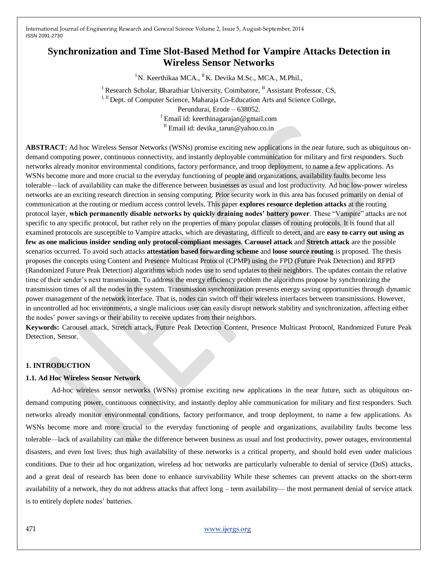# **Synchronization and Time Slot-Based Method for Vampire Attacks Detection in Wireless Sensor Networks**

<sup>I</sup>N. Keerthikaa MCA., <sup>II</sup>K. Devika M.Sc., MCA., M.Phil.,

<sup>I</sup> Research Scholar, Bharathiar University, Coimbatore,  $^{\text{II}}$  Assistant Professor, CS, I, II Dept. of Computer Science, Maharaja Co-Education Arts and Science College, Perundurai, Erode – 638052. <sup>I</sup> Email id: keerthinagarajan@gmail.com <sup>II</sup> Email id: devika tarun@yahoo.co.in

**ABSTRACT:** Ad hoc Wireless Sensor Networks (WSNs) promise exciting new applications in the near future, such as ubiquitous ondemand computing power, continuous connectivity, and instantly deployable communication for military and first responders. Such networks already monitor environmental conditions, factory performance, and troop deployment, to name a few applications. As WSNs become more and more crucial to the everyday functioning of people and organizations, availability faults become less tolerable—lack of availability can make the difference between businesses as usual and lost productivity. Ad hoc low-power wireless networks are an exciting research direction in sensing computing. Prior security work in this area has focused primarily on denial of communication at the routing or medium access control levels. This paper **explores resource depletion attacks** at the routing protocol layer, which permanently disable networks by quickly draining nodes' battery power. These "Vampire" attacks are not specific to any specific protocol, but rather rely on the properties of many popular classes of routing protocols. It is found that all examined protocols are susceptible to Vampire attacks, which are devastating, difficult to detect, and are **easy to carry out using as few as one malicious insider sending only protocol-compliant messages**. **Carousel attack** and **Stretch attack** are the possible scenarios occurred. To avoid such attacks **attestation based forwarding scheme** and **loose source routing** is proposed. The thesis proposes the concepts using Content and Presence Multicast Protocol (CPMP) using the FPD (Future Peak Detection) and RFPD (Randomized Future Peak Detection) algorithms which nodes use to send updates to their neighbors. The updates contain the relative time of their sender's next transmission. To address the energy efficiency problem the algorithms propose by synchronizing the transmission times of all the nodes in the system. Transmission synchronization presents energy saving opportunities through dynamic power management of the network interface. That is, nodes can switch off their wireless interfaces between transmissions. However, in uncontrolled ad hoc environments, a single malicious user can easily disrupt network stability and synchronization, affecting either the nodes' power savings or their ability to receive updates from their neighbors.

**Keywords:** Carousel attack, Stretch attack, Future Peak Detection Content, Presence Multicast Protocol, Randomized Future Peak Detection, Sensor.

# **1. INTRODUCTION**

# **1.1. Ad Hoc Wireless Sensor Network**

Ad-hoc wireless sensor networks (WSNs) promise exciting new applications in the near future, such as ubiquitous ondemand computing power, continuous connectivity, and instantly deploy able communication for military and first responders. Such networks already monitor environmental conditions, factory performance, and troop deployment, to name a few applications. As WSNs become more and more crucial to the everyday functioning of people and organizations, availability faults become less tolerable—lack of availability can make the difference between business as usual and lost productivity, power outages, environmental disasters, and even lost lives; thus high availability of these networks is a critical property, and should hold even under malicious conditions. Due to their ad hoc organization, wireless ad hoc networks are particularly vulnerable to denial of service (DoS) attacks, and a great deal of research has been done to enhance survivability While these schemes can prevent attacks on the short-term availability of a network, they do not address attacks that affect long – term availability— the most permanent denial of service attack is to entirely deplete nodes' batteries.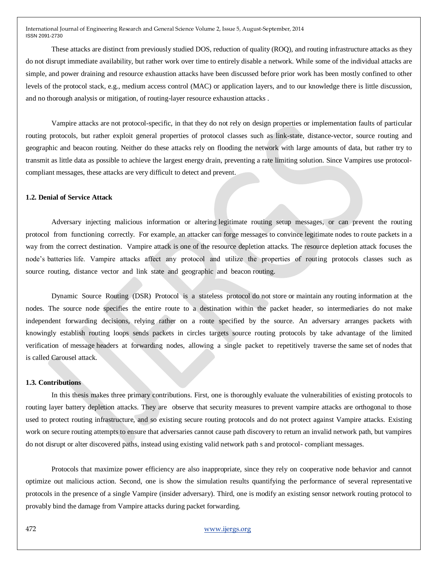These attacks are distinct from previously studied DOS, reduction of quality (ROQ), and routing infrastructure attacks as they do not disrupt immediate availability, but rather work over time to entirely disable a network. While some of the individual attacks are simple, and power draining and resource exhaustion attacks have been discussed before prior work has been mostly confined to other levels of the protocol stack, e.g., medium access control (MAC) or application layers, and to our knowledge there is little discussion, and no thorough analysis or mitigation, of routing-layer resource exhaustion attacks .

Vampire attacks are not protocol-specific, in that they do not rely on design properties or implementation faults of particular routing protocols, but rather exploit general properties of protocol classes such as link-state, distance-vector, source routing and geographic and beacon routing. Neither do these attacks rely on flooding the network with large amounts of data, but rather try to transmit as little data as possible to achieve the largest energy drain, preventing a rate limiting solution. Since Vampires use protocolcompliant messages, these attacks are very difficult to detect and prevent.

# **1.2. Denial of Service Attack**

Adversary injecting malicious information or altering legitimate routing setup messages, or can prevent the routing protocol from functioning correctly. For example, an attacker can forge messages to convince legitimate nodes to route packets in a way from the correct destination. Vampire attack is one of the resource depletion attacks. The resource depletion attack focuses the node's batteries life. Vampire attacks affect any protocol and utilize the properties of routing protocols classes such as source routing, distance vector and link state and geographic and beacon routing.

Dynamic Source Routing (DSR) Protocol is a stateless protocol do not store or maintain any routing information at the nodes. The source node specifies the entire route to a destination within the packet header, so intermediaries do not make independent forwarding decisions, relying rather on a route specified by the source. An adversary arranges packets with knowingly establish routing loops sends packets in circles targets source routing protocols by take advantage of the limited verification of message headers at forwarding nodes, allowing a single packet to repetitively traverse the same set of nodes that is called Carousel attack.

#### **1.3. Contributions**

In this thesis makes three primary contributions. First, one is thoroughly evaluate the vulnerabilities of existing protocols to routing layer battery depletion attacks. They are observe that security measures to prevent vampire attacks are orthogonal to those used to protect routing infrastructure, and so existing secure routing protocols and do not protect against Vampire attacks. Existing work on secure routing attempts to ensure that adversaries cannot cause path discovery to return an invalid network path, but vampires do not disrupt or alter discovered paths, instead using existing valid network path s and protocol- compliant messages.

Protocols that maximize power efficiency are also inappropriate, since they rely on cooperative node behavior and cannot optimize out malicious action. Second, one is show the simulation results quantifying the performance of several representative protocols in the presence of a single Vampire (insider adversary). Third, one is modify an existing sensor network routing protocol to provably bind the damage from Vampire attacks during packet forwarding.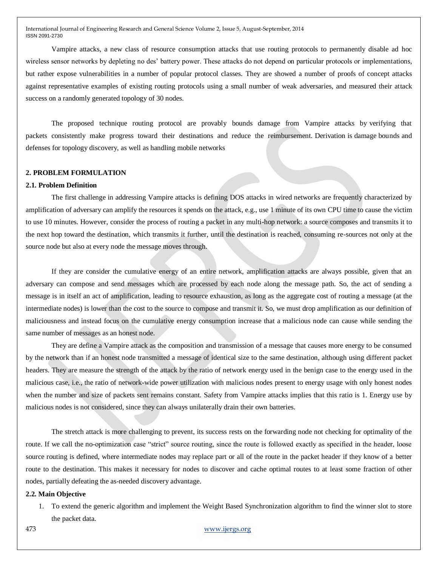Vampire attacks, a new class of resource consumption attacks that use routing protocols to permanently disable ad hoc wireless sensor networks by depleting no des' battery power. These attacks do not depend on particular protocols or implementations, but rather expose vulnerabilities in a number of popular protocol classes. They are showed a number of proofs of concept attacks against representative examples of existing routing protocols using a small number of weak adversaries, and measured their attack success on a randomly generated topology of 30 nodes.

The proposed technique routing protocol are provably bounds damage from Vampire attacks by verifying that packets consistently make progress toward their destinations and reduce the reimbursement. Derivation is damage bounds and defenses for topology discovery, as well as handling mobile networks

# **2. PROBLEM FORMULATION**

#### **2.1. Problem Definition**

The first challenge in addressing Vampire attacks is defining DOS attacks in wired networks are frequently characterized by amplification of adversary can amplify the resources it spends on the attack, e.g., use 1 minute of its own CPU time to cause the victim to use 10 minutes. However, consider the process of routing a packet in any multi-hop network: a source composes and transmits it to the next hop toward the destination, which transmits it further, until the destination is reached, consuming re-sources not only at the source node but also at every node the message moves through.

If they are consider the cumulative energy of an entire network, amplification attacks are always possible, given that an adversary can compose and send messages which are processed by each node along the message path. So, the act of sending a message is in itself an act of amplification, leading to resource exhaustion, as long as the aggregate cost of routing a message (at the intermediate nodes) is lower than the cost to the source to compose and transmit it. So, we must drop amplification as our definition of maliciousness and instead focus on the cumulative energy consumption increase that a malicious node can cause while sending the same number of messages as an honest node.

They are define a Vampire attack as the composition and transmission of a message that causes more energy to be consumed by the network than if an honest node transmitted a message of identical size to the same destination, although using different packet headers. They are measure the strength of the attack by the ratio of network energy used in the benign case to the energy used in the malicious case, i.e., the ratio of network-wide power utilization with malicious nodes present to energy usage with only honest nodes when the number and size of packets sent remains constant. Safety from Vampire attacks implies that this ratio is 1. Energy use by malicious nodes is not considered, since they can always unilaterally drain their own batteries.

The stretch attack is more challenging to prevent, its success rests on the forwarding node not checking for optimality of the route. If we call the no-optimization case "strict" source routing, since the route is followed exactly as specified in the header, loose source routing is defined, where intermediate nodes may replace part or all of the route in the packet header if they know of a better route to the destination. This makes it necessary for nodes to discover and cache optimal routes to at least some fraction of other nodes, partially defeating the as-needed discovery advantage.

#### **2.2. Main Objective**

1. To extend the generic algorithm and implement the Weight Based Synchronization algorithm to find the winner slot to store the packet data.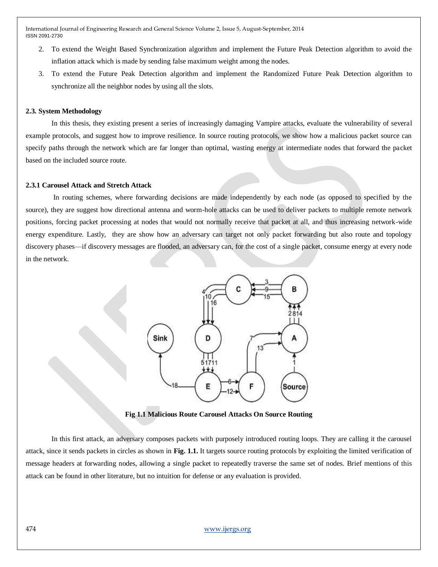- 2. To extend the Weight Based Synchronization algorithm and implement the Future Peak Detection algorithm to avoid the inflation attack which is made by sending false maximum weight among the nodes.
- 3. To extend the Future Peak Detection algorithm and implement the Randomized Future Peak Detection algorithm to synchronize all the neighbor nodes by using all the slots.

#### **2.3. System Methodology**

In this thesis, they existing present a series of increasingly damaging Vampire attacks, evaluate the vulnerability of several example protocols, and suggest how to improve resilience. In source routing protocols, we show how a malicious packet source can specify paths through the network which are far longer than optimal, wasting energy at intermediate nodes that forward the packet based on the included source route.

# **2.3.1 Carousel Attack and Stretch Attack**

In routing schemes, where forwarding decisions are made independently by each node (as opposed to specified by the source), they are suggest how directional antenna and worm-hole attacks can be used to deliver packets to multiple remote network positions, forcing packet processing at nodes that would not normally receive that packet at all, and thus increasing network-wide energy expenditure. Lastly, they are show how an adversary can target not only packet forwarding but also route and topology discovery phases—if discovery messages are flooded, an adversary can, for the cost of a single packet, consume energy at every node in the network.



**Fig 1.1 Malicious Route Carousel Attacks On Source Routing**

In this first attack, an adversary composes packets with purposely introduced routing loops. They are calling it the carousel attack, since it sends packets in circles as shown in **Fig. 1.1.** It targets source routing protocols by exploiting the limited verification of message headers at forwarding nodes, allowing a single packet to repeatedly traverse the same set of nodes. Brief mentions of this attack can be found in other literature, but no intuition for defense or any evaluation is provided.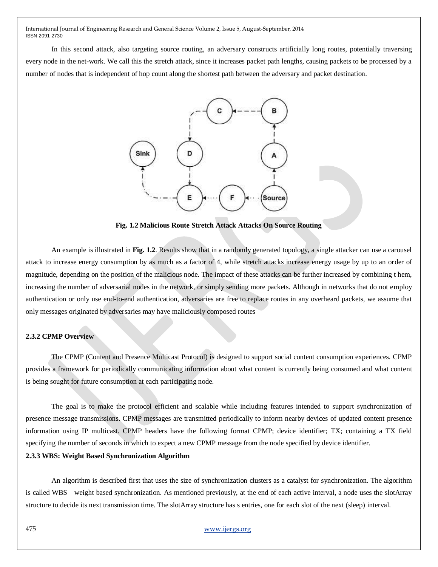In this second attack, also targeting source routing, an adversary constructs artificially long routes, potentially traversing every node in the net-work. We call this the stretch attack, since it increases packet path lengths, causing packets to be processed by a number of nodes that is independent of hop count along the shortest path between the adversary and packet destination.



**Fig. 1.2 Malicious Route Stretch Attack Attacks On Source Routing**

An example is illustrated in **Fig. 1.2**. Results show that in a randomly generated topology, a single attacker can use a carousel attack to increase energy consumption by as much as a factor of 4, while stretch attacks increase energy usage by up to an order of magnitude, depending on the position of the malicious node. The impact of these attacks can be further increased by combining t hem, increasing the number of adversarial nodes in the network, or simply sending more packets. Although in networks that do not employ authentication or only use end-to-end authentication, adversaries are free to replace routes in any overheard packets, we assume that only messages originated by adversaries may have maliciously composed routes

# **2.3.2 CPMP Overview**

The CPMP (Content and Presence Multicast Protocol) is designed to support social content consumption experiences. CPMP provides a framework for periodically communicating information about what content is currently being consumed and what content is being sought for future consumption at each participating node.

The goal is to make the protocol efficient and scalable while including features intended to support synchronization of presence message transmissions. CPMP messages are transmitted periodically to inform nearby devices of updated content presence information using IP multicast. CPMP headers have the following format CPMP; device identifier; TX; containing a TX field specifying the number of seconds in which to expect a new CPMP message from the node specified by device identifier.

#### **2.3.3 WBS: Weight Based Synchronization Algorithm**

An algorithm is described first that uses the size of synchronization clusters as a catalyst for synchronization. The algorithm is called WBS—weight based synchronization. As mentioned previously, at the end of each active interval, a node uses the slotArray structure to decide its next transmission time. The slotArray structure has s entries, one for each slot of the next (sleep) interval.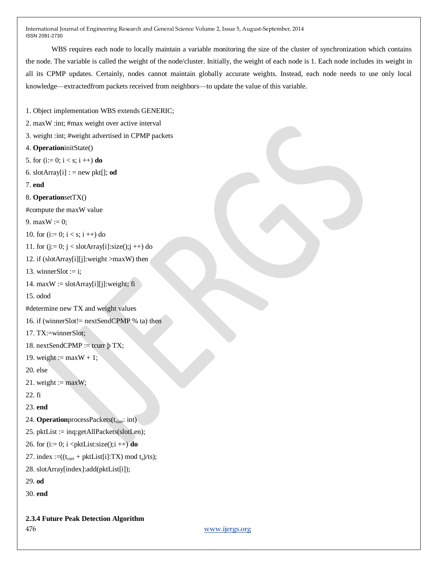WBS requires each node to locally maintain a variable monitoring the size of the cluster of synchronization which contains the node. The variable is called the weight of the node/cluster. Initially, the weight of each node is 1. Each node includes its weight in all its CPMP updates. Certainly, nodes cannot maintain globally accurate weights. Instead, each node needs to use only local knowledge—extractedfrom packets received from neighbors—to update the value of this variable.

1. Object implementation WBS extends GENERIC;

- 2. maxW :int; #max weight over active interval
- 3. weight :int; #weight advertised in CPMP packets
- 4. **Operation**initState()
- 5. for  $(i:= 0; i < s; i++)$  **do**
- 6. slotArray $[i]$  : = new pkt $[j]$ ; od
- 7. **end**
- 8. **Operation**setTX()

#compute the maxW value

9. max $W := 0$ :

```
10. for (i=0; i < s; i++) do
```

```
11. for (j:= 0; j <slotArray[i]:size();j ++) do
```

```
12. if (slotArray[i][j]:weight >maxW) then
```

```
13. winnerSlot := i;
```

```
14. maxW :=slotArray[i][j]:weight; fi
```
15. odod

#determine new TX and weight values

16. if (winnerSlot!= nextSendCPMP % ta) then

```
17. TX:=winnerSlot;
```
18. nextSendCPMP := tcurr  $\beta$  TX;

```
19. weight := maxW + 1;
```
20. else

```
21. weight := maxW;
```

```
22. fi
```
23. **end**

- 24. **Operation**processPackets(t<sub>curr</sub>: int)
- 25. pktList := inq:getAllPackets(slotLen);
- 26. for  $(i=0; i *pktList:size()*; i++)$  **do**
- 27. index := $((t_{curr} + \text{pktList}[i]:TX) \text{ mod } t_a)/ts);$
- 28. slotArray[index]:add(pktList[i]);
- 29. **od**
- 30. **end**

**2.3.4 Future Peak Detection Algorithm**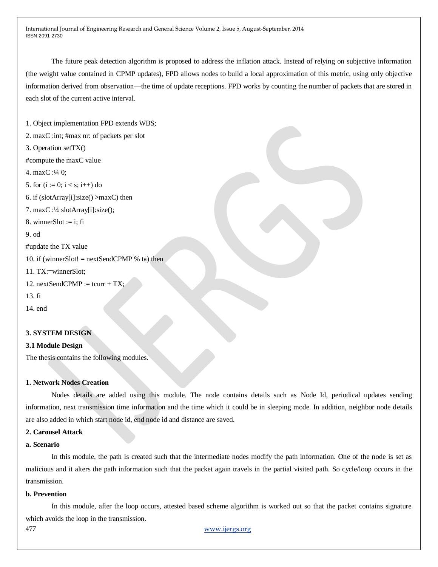The future peak detection algorithm is proposed to address the inflation attack. Instead of relying on subjective information (the weight value contained in CPMP updates), FPD allows nodes to build a local approximation of this metric, using only objective information derived from observation—the time of update receptions. FPD works by counting the number of packets that are stored in each slot of the current active interval.

1. Object implementation FPD extends WBS; 2. maxC :int; #max nr: of packets per slot 3. Operation setTX() #compute the maxC value 4. maxC :¼ 0; 5. for  $(i := 0; i < s; i++)$  do 6. if  $(slotArray[i]:size() > maxC)$  then 7. maxC :¼ slotArray[i]:size(); 8. winnerSlot  $:=$  i: fi 9. od #update the TX value 10. if (winnerSlot!  $=$  nextSendCPMP % ta) then 11. TX:=winnerSlot; 12. nextSendCPMP := tcurr + TX; 13. fi 14. end

# **3. SYSTEM DESIGN**

# **3.1 Module Design**

The thesis contains the following modules.

# **1. Network Nodes Creation**

Nodes details are added using this module. The node contains details such as Node Id, periodical updates sending information, next transmission time information and the time which it could be in sleeping mode. In addition, neighbor node details are also added in which start node id, end node id and distance are saved.

#### **2. Carousel Attack**

## **a. Scenario**

In this module, the path is created such that the intermediate nodes modify the path information. One of the node is set as malicious and it alters the path information such that the packet again travels in the partial visited path. So cycle/loop occurs in the transmission.

#### **b. Prevention**

In this module, after the loop occurs, attested based scheme algorithm is worked out so that the packet contains signature which avoids the loop in the transmission.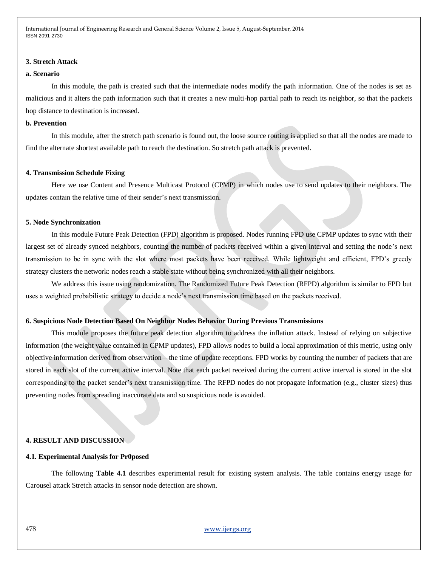#### **3. Stretch Attack**

#### **a. Scenario**

In this module, the path is created such that the intermediate nodes modify the path information. One of the nodes is set as malicious and it alters the path information such that it creates a new multi-hop partial path to reach its neighbor, so that the packets hop distance to destination is increased.

# **b. Prevention**

In this module, after the stretch path scenario is found out, the loose source routing is applied so that all the nodes are made to find the alternate shortest available path to reach the destination. So stretch path attack is prevented.

# **4. Transmission Schedule Fixing**

Here we use Content and Presence Multicast Protocol (CPMP) in which nodes use to send updates to their neighbors. The updates contain the relative time of their sender's next transmission.

#### **5. Node Synchronization**

In this module Future Peak Detection (FPD) algorithm is proposed. Nodes running FPD use CPMP updates to sync with their largest set of already synced neighbors, counting the number of packets received within a given interval and setting the node's next transmission to be in sync with the slot where most packets have been received. While lightweight and efficient, FPD's greedy strategy clusters the network: nodes reach a stable state without being synchronized with all their neighbors.

We address this issue using randomization. The Randomized Future Peak Detection (RFPD) algorithm is similar to FPD but uses a weighted probabilistic strategy to decide a node's next transmission time based on the packets received.

#### **6. Suspicious Node Detection Based On Neighbor Nodes Behavior During Previous Transmissions**

This module proposes the future peak detection algorithm to address the inflation attack. Instead of relying on subjective information (the weight value contained in CPMP updates), FPD allows nodes to build a local approximation of this metric, using only objective information derived from observation—the time of update receptions. FPD works by counting the number of packets that are stored in each slot of the current active interval. Note that each packet received during the current active interval is stored in the slot corresponding to the packet sender's next transmission time. The RFPD nodes do not propagate information (e.g., cluster sizes) thus preventing nodes from spreading inaccurate data and so suspicious node is avoided.

# **4. RESULT AND DISCUSSION**

#### **4.1. Experimental Analysis for Pr0posed**

The following **Table 4.1** describes experimental result for existing system analysis. The table contains energy usage for Carousel attack Stretch attacks in sensor node detection are shown.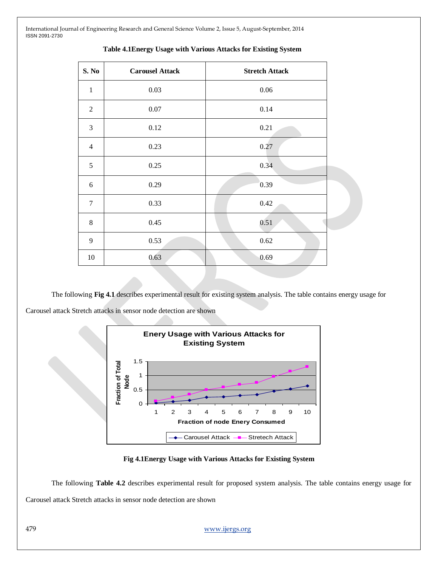| S. No          | <b>Carousel Attack</b> | <b>Stretch Attack</b> |  |  |
|----------------|------------------------|-----------------------|--|--|
| $\mathbf{1}$   | 0.03                   | $0.06\,$              |  |  |
| $\sqrt{2}$     | 0.07                   | 0.14                  |  |  |
| 3              | 0.12                   | 0.21                  |  |  |
| $\overline{4}$ | 0.23                   | 0.27                  |  |  |
| $\sqrt{5}$     | 0.25                   | 0.34                  |  |  |
| 6              | 0.29                   | 0.39                  |  |  |
| $\tau$         | 0.33                   | 0.42                  |  |  |
| $8\,$          | 0.45                   | 0.51                  |  |  |
| 9              | 0.53                   | 0.62                  |  |  |
| 10             | 0.63                   | 0.69                  |  |  |

# **Table 4.1Energy Usage with Various Attacks for Existing System**

The following **Fig 4.1** describes experimental result for existing system analysis. The table contains energy usage for Carousel attack Stretch attacks in sensor node detection are shown



#### **Fig 4.1Energy Usage with Various Attacks for Existing System**

The following **Table 4.2** describes experimental result for proposed system analysis. The table contains energy usage for Carousel attack Stretch attacks in sensor node detection are shown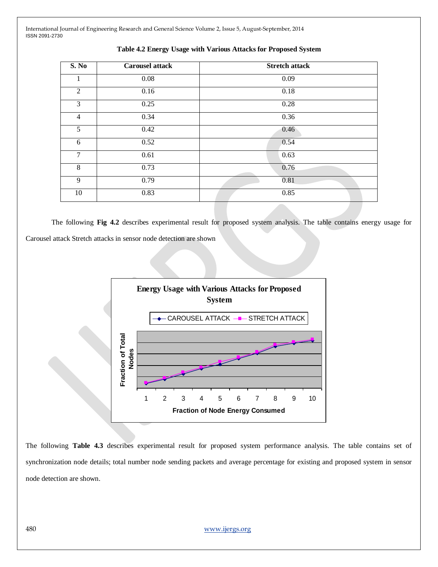| <b>Carousel attack</b> | <b>Stretch attack</b> |  |  |
|------------------------|-----------------------|--|--|
| 0.08                   | 0.09                  |  |  |
| 0.16                   | 0.18                  |  |  |
| 0.25                   | 0.28                  |  |  |
| 0.34                   | 0.36                  |  |  |
| 0.42                   | 0.46                  |  |  |
| 0.52                   | 0.54                  |  |  |
| 0.61                   | 0.63                  |  |  |
| 0.73                   | 0.76                  |  |  |
| 0.79                   | 0.81                  |  |  |
| 0.83                   | 0.85                  |  |  |
|                        |                       |  |  |

**Table 4.2 Energy Usage with Various Attacks for Proposed System**

The following **Fig 4.2** describes experimental result for proposed system analysis. The table contains energy usage for Carousel attack Stretch attacks in sensor node detection are shown



The following **Table 4.3** describes experimental result for proposed system performance analysis. The table contains set of synchronization node details; total number node sending packets and average percentage for existing and proposed system in sensor node detection are shown.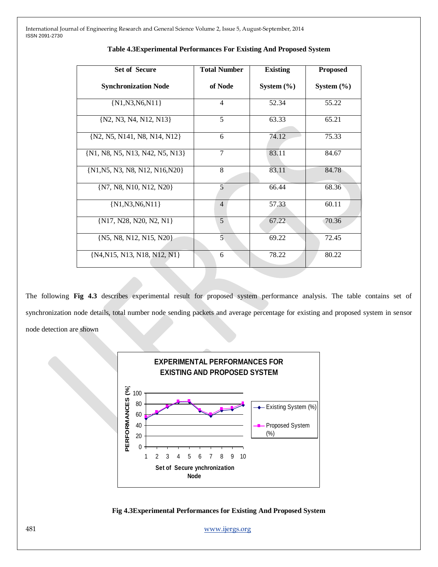| <b>Set of Secure</b>            | <b>Total Number</b> | <b>Existing</b> | <b>Proposed</b> |
|---------------------------------|---------------------|-----------------|-----------------|
| <b>Synchronization Node</b>     | of Node             | System $(\% )$  | System $(\% )$  |
| $\{N1,N3,N6,N11\}$              | $\overline{4}$      | 52.34           | 55.22           |
| {N2, N3, N4, N12, N13}          | 5                   | 63.33           | 65.21           |
| {N2, N5, N141, N8, N14, N12}    | 6                   | 74.12           | 75.33           |
| {N1, N8, N5, N13, N42, N5, N13} | 7                   | 83.11           | 84.67           |
| {N1, N5, N3, N8, N12, N16, N20} | 8                   | 83.11           | 84.78           |
| {N7, N8, N10, N12, N20}         | 5                   | 66.44           | 68.36           |
| $\{N1,N3,N6,N11\}$              | $\overline{4}$      | 57.33           | 60.11           |
| $\{N17, N28, N20, N2, N1\}$     | 5                   | 67.22           | 70.36           |
| {N5, N8, N12, N15, N20}         | 5                   | 69.22           | 72.45           |
| {N4, N15, N13, N18, N12, N1}    | 6                   | 78.22           | 80.22           |

# **Table 4.3Experimental Performances For Existing And Proposed System**

The following **Fig 4.3** describes experimental result for proposed system performance analysis. The table contains set of synchronization node details, total number node sending packets and average percentage for existing and proposed system in sensor node detection are shown



**Fig 4.3Experimental Performances for Existing And Proposed System**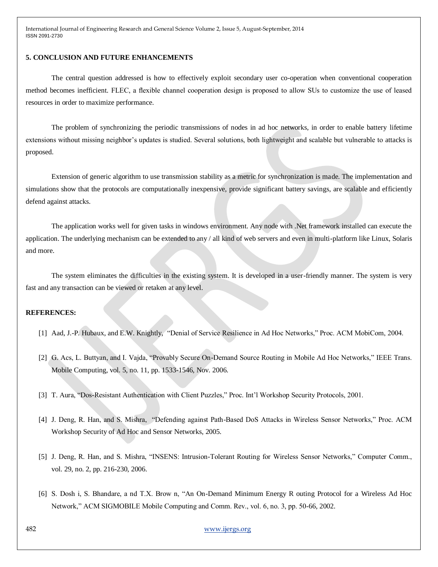# **5. CONCLUSION AND FUTURE ENHANCEMENTS**

The central question addressed is how to effectively exploit secondary user co-operation when conventional cooperation method becomes inefficient. FLEC, a flexible channel cooperation design is proposed to allow SUs to customize the use of leased resources in order to maximize performance.

The problem of synchronizing the periodic transmissions of nodes in ad hoc networks, in order to enable battery lifetime extensions without missing neighbor's updates is studied. Several solutions, both lightweight and scalable but vulnerable to attacks is proposed.

Extension of generic algorithm to use transmission stability as a metric for synchronization is made. The implementation and simulations show that the protocols are computationally inexpensive, provide significant battery savings, are scalable and efficiently defend against attacks.

The application works well for given tasks in windows environment. Any node with .Net framework installed can execute the application. The underlying mechanism can be extended to any / all kind of web servers and even in multi-platform like Linux, Solaris and more.

The system eliminates the difficulties in the existing system. It is developed in a user-friendly manner. The system is very fast and any transaction can be viewed or retaken at any level.

# **REFERENCES:**

- [1] Aad, J.-P. Hubaux, and E.W. Knightly, "Denial of Service Resilience in Ad Hoc Networks," Proc. ACM MobiCom, 2004.
- [2] G. Acs, L. Buttyan, and I. Vajda, "Provably Secure On-Demand Source Routing in Mobile Ad Hoc Networks," IEEE Trans. Mobile Computing, vol. 5, no. 11, pp. 1533-1546, Nov. 2006.
- [3] T. Aura, "Dos-Resistant Authentication with Client Puzzles," Proc. Int'l Workshop Security Protocols, 2001.
- [4] J. Deng, R. Han, and S. Mishra, "Defending against Path-Based DoS Attacks in Wireless Sensor Networks," Proc. ACM Workshop Security of Ad Hoc and Sensor Networks, 2005.
- [5] J. Deng, R. Han, and S. Mishra, "INSENS: Intrusion-Tolerant Routing for Wireless Sensor Networks," Computer Comm., vol. 29, no. 2, pp. 216-230, 2006.
- [6] S. Dosh i, S. Bhandare, a nd T.X. Brow n, "An On-Demand Minimum Energy R outing Protocol for a Wireless Ad Hoc Network," ACM SIGMOBILE Mobile Computing and Comm. Rev., vol. 6, no. 3, pp. 50-66, 2002.